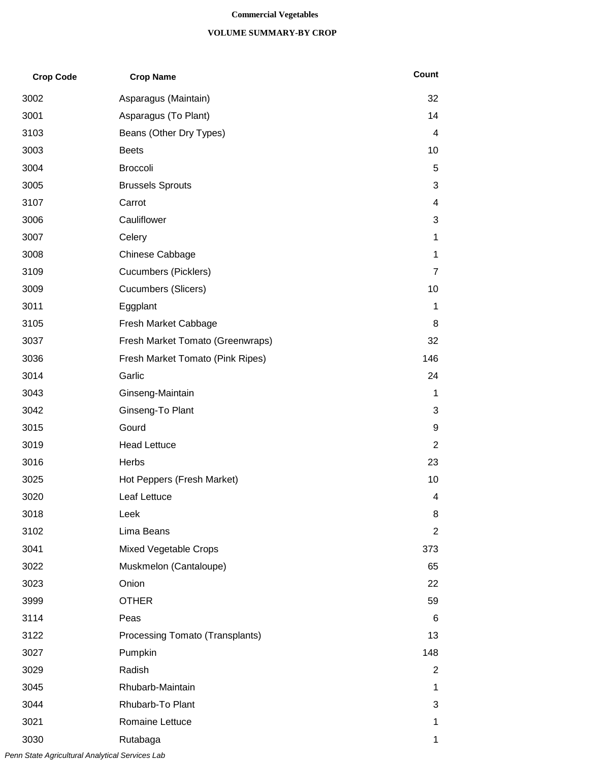#### **Commercial Vegetables**

### **VOLUME SUMMARY-BY CROP**

| <b>Crop Code</b> | <b>Crop Name</b>                 | Count          |
|------------------|----------------------------------|----------------|
| 3002             | Asparagus (Maintain)             | 32             |
| 3001             | Asparagus (To Plant)             | 14             |
| 3103             | Beans (Other Dry Types)          | 4              |
| 3003             | <b>Beets</b>                     | 10             |
| 3004             | <b>Broccoli</b>                  | 5              |
| 3005             | <b>Brussels Sprouts</b>          | 3              |
| 3107             | Carrot                           | 4              |
| 3006             | Cauliflower                      | 3              |
| 3007             | Celery                           | 1              |
| 3008             | Chinese Cabbage                  | 1              |
| 3109             | <b>Cucumbers (Picklers)</b>      | 7              |
| 3009             | <b>Cucumbers (Slicers)</b>       | 10             |
| 3011             | Eggplant                         | 1              |
| 3105             | Fresh Market Cabbage             | 8              |
| 3037             | Fresh Market Tomato (Greenwraps) | 32             |
| 3036             | Fresh Market Tomato (Pink Ripes) | 146            |
| 3014             | Garlic                           | 24             |
| 3043             | Ginseng-Maintain                 | 1              |
| 3042             | Ginseng-To Plant                 | 3              |
| 3015             | Gourd                            | 9              |
| 3019             | <b>Head Lettuce</b>              | 2              |
| 3016             | Herbs                            | 23             |
| 3025             | Hot Peppers (Fresh Market)       | 10             |
| 3020             | Leaf Lettuce                     | 4              |
| 3018             | Leek                             | 8              |
| 3102             | Lima Beans                       | $\overline{2}$ |
| 3041             | <b>Mixed Vegetable Crops</b>     | 373            |
| 3022             | Muskmelon (Cantaloupe)           | 65             |
| 3023             | Onion                            | 22             |
| 3999             | <b>OTHER</b>                     | 59             |
| 3114             | Peas                             | 6              |
| 3122             | Processing Tomato (Transplants)  | 13             |
| 3027             | Pumpkin                          | 148            |
| 3029             | Radish                           | 2              |
| 3045             | Rhubarb-Maintain                 | 1              |
| 3044             | Rhubarb-To Plant                 | 3              |
| 3021             | Romaine Lettuce                  | 1              |
| 3030             | Rutabaga                         | 1              |

*Penn State Agricultural Analytical Services Lab*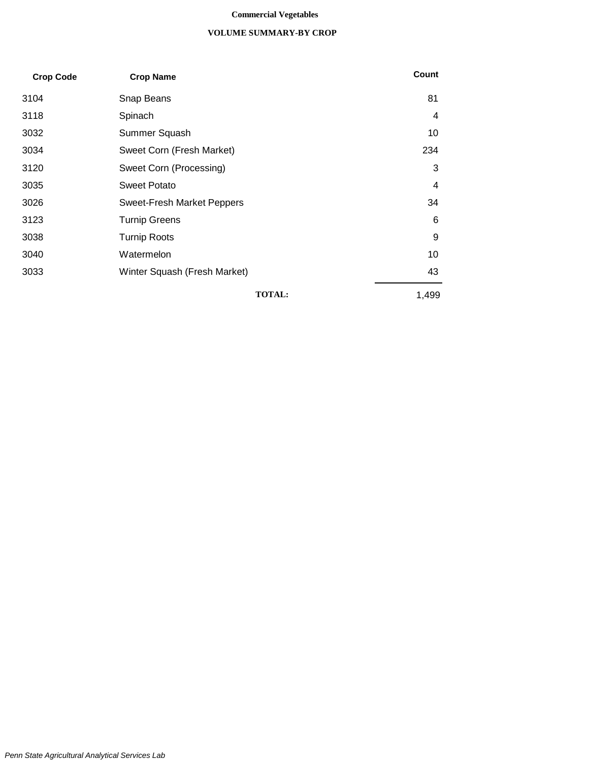#### **Commercial Vegetables**

### **VOLUME SUMMARY-BY CROP**

| <b>Crop Code</b> | <b>Crop Name</b>                  | Count |
|------------------|-----------------------------------|-------|
| 3104             | Snap Beans                        | 81    |
| 3118             | Spinach                           | 4     |
| 3032             | Summer Squash                     | 10    |
| 3034             | Sweet Corn (Fresh Market)         | 234   |
| 3120             | Sweet Corn (Processing)           | 3     |
| 3035             | <b>Sweet Potato</b>               | 4     |
| 3026             | <b>Sweet-Fresh Market Peppers</b> | 34    |
| 3123             | <b>Turnip Greens</b>              | 6     |
| 3038             | <b>Turnip Roots</b>               | 9     |
| 3040             | Watermelon                        | 10    |
| 3033             | Winter Squash (Fresh Market)      | 43    |
|                  | <b>TOTAL:</b>                     | 1,499 |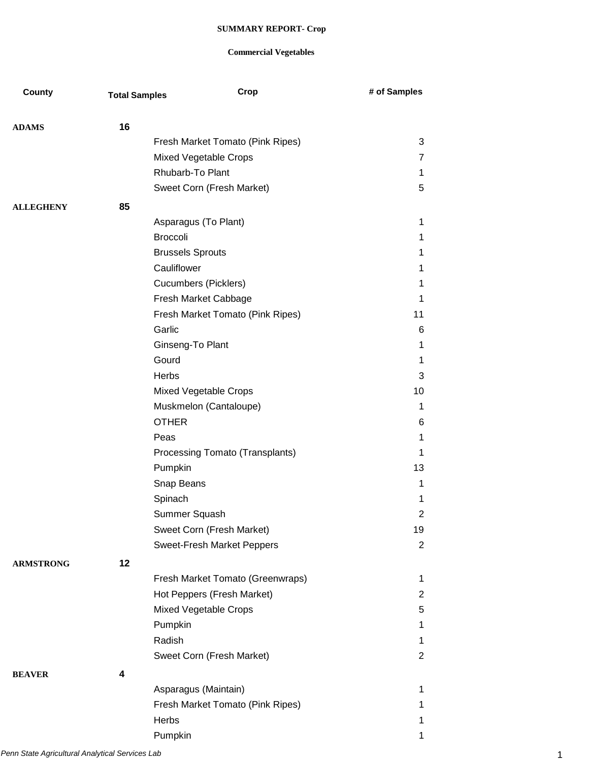| County           | <b>Total Samples</b> | Crop                              | # of Samples   |
|------------------|----------------------|-----------------------------------|----------------|
|                  |                      |                                   |                |
| <b>ADAMS</b>     | 16                   |                                   |                |
|                  |                      | Fresh Market Tomato (Pink Ripes)  | 3              |
|                  |                      | Mixed Vegetable Crops             | 7              |
|                  |                      | Rhubarb-To Plant                  | 1.             |
|                  |                      | Sweet Corn (Fresh Market)         | 5              |
| <b>ALLEGHENY</b> | 85                   |                                   |                |
|                  |                      | Asparagus (To Plant)              | 1              |
|                  |                      | <b>Broccoli</b>                   | 1              |
|                  |                      | <b>Brussels Sprouts</b>           | 1              |
|                  |                      | Cauliflower                       | 1              |
|                  |                      | <b>Cucumbers (Picklers)</b>       | 1              |
|                  |                      | Fresh Market Cabbage              | 1              |
|                  |                      | Fresh Market Tomato (Pink Ripes)  | 11             |
|                  |                      | Garlic                            | 6              |
|                  |                      | Ginseng-To Plant                  | 1              |
|                  |                      | Gourd                             | 1              |
|                  |                      | Herbs                             | 3              |
|                  |                      | Mixed Vegetable Crops             | 10             |
|                  |                      | Muskmelon (Cantaloupe)            | $\mathbf{1}$   |
|                  |                      | <b>OTHER</b>                      | 6              |
|                  |                      | Peas                              | 1              |
|                  |                      | Processing Tomato (Transplants)   | 1              |
|                  |                      | Pumpkin                           | 13             |
|                  |                      | Snap Beans                        | 1              |
|                  |                      | Spinach                           | 1              |
|                  |                      | Summer Squash                     | 2              |
|                  |                      | Sweet Corn (Fresh Market)         | 19             |
|                  |                      | <b>Sweet-Fresh Market Peppers</b> | $\overline{2}$ |
| <b>ARMSTRONG</b> | 12                   |                                   |                |
|                  |                      | Fresh Market Tomato (Greenwraps)  | 1              |
|                  |                      | Hot Peppers (Fresh Market)        | $\overline{2}$ |
|                  |                      | Mixed Vegetable Crops             | 5              |
|                  |                      | Pumpkin                           | 1              |
|                  |                      | Radish                            | 1.             |
|                  |                      | Sweet Corn (Fresh Market)         | $\overline{2}$ |
| <b>BEAVER</b>    | 4                    |                                   |                |
|                  |                      | Asparagus (Maintain)              | 1              |
|                  |                      | Fresh Market Tomato (Pink Ripes)  | 1              |
|                  |                      | Herbs                             | 1              |
|                  |                      | Pumpkin                           | 1              |
|                  |                      |                                   |                |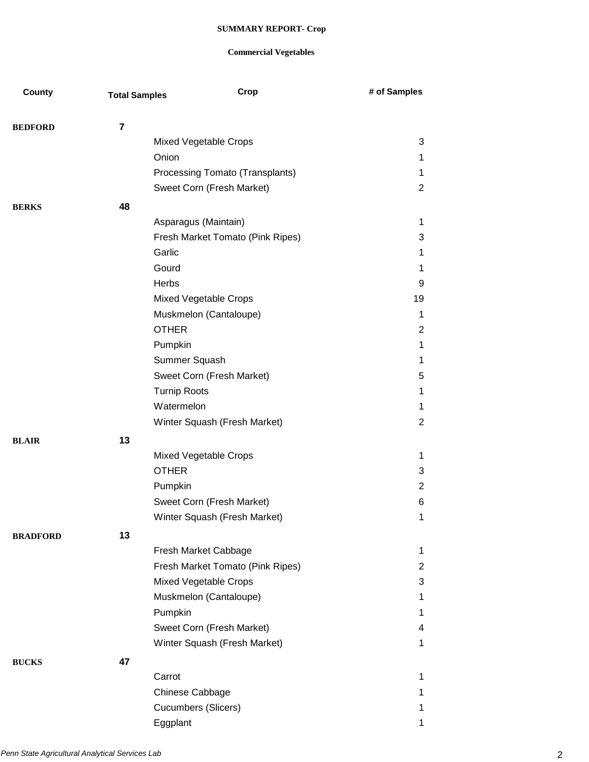| County          | <b>Total Samples</b> | Crop                             | # of Samples   |
|-----------------|----------------------|----------------------------------|----------------|
|                 |                      |                                  |                |
| <b>BEDFORD</b>  | 7                    |                                  |                |
|                 |                      | Mixed Vegetable Crops            | 3              |
|                 |                      | Onion                            | 1              |
|                 |                      | Processing Tomato (Transplants)  | 1              |
|                 |                      | Sweet Corn (Fresh Market)        | 2              |
| <b>BERKS</b>    | 48                   |                                  |                |
|                 |                      | Asparagus (Maintain)             | 1              |
|                 |                      | Fresh Market Tomato (Pink Ripes) | 3              |
|                 |                      | Garlic                           | 1              |
|                 |                      | Gourd                            | 1              |
|                 |                      | Herbs                            | 9              |
|                 |                      | Mixed Vegetable Crops            | 19             |
|                 |                      | Muskmelon (Cantaloupe)           | 1              |
|                 |                      | <b>OTHER</b>                     | $\overline{2}$ |
|                 |                      | Pumpkin                          | 1              |
|                 |                      | Summer Squash                    | 1              |
|                 |                      | Sweet Corn (Fresh Market)        | 5              |
|                 |                      | <b>Turnip Roots</b>              | 1              |
|                 |                      | Watermelon                       | 1              |
|                 |                      | Winter Squash (Fresh Market)     | $\overline{c}$ |
| <b>BLAIR</b>    | 13                   |                                  |                |
|                 |                      | Mixed Vegetable Crops            | 1              |
|                 |                      | <b>OTHER</b>                     | 3              |
|                 |                      | Pumpkin                          | $\overline{2}$ |
|                 |                      | Sweet Corn (Fresh Market)        | 6              |
|                 |                      | Winter Squash (Fresh Market)     | $\mathbf 1$    |
| <b>BRADFORD</b> | 13                   |                                  |                |
|                 |                      | Fresh Market Cabbage             | $\mathbf 1$    |
|                 |                      | Fresh Market Tomato (Pink Ripes) | $\overline{2}$ |
|                 |                      | Mixed Vegetable Crops            | 3              |
|                 |                      | Muskmelon (Cantaloupe)           | $\mathbf{1}$   |
|                 |                      | Pumpkin                          | $\mathbf{1}$   |
|                 |                      | Sweet Corn (Fresh Market)        | 4              |
|                 |                      | Winter Squash (Fresh Market)     | 1              |
| <b>BUCKS</b>    | 47                   |                                  |                |
|                 |                      | Carrot                           | 1              |
|                 |                      | Chinese Cabbage                  | 1              |
|                 |                      | Cucumbers (Slicers)              | 1              |
|                 |                      | Eggplant                         | 1              |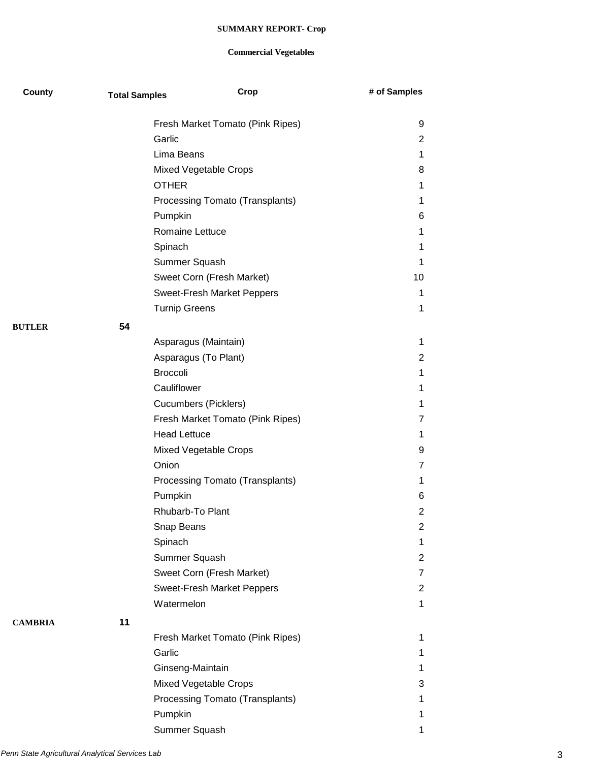| County         | <b>Total Samples</b> | Crop                             | # of Samples     |
|----------------|----------------------|----------------------------------|------------------|
|                |                      | Fresh Market Tomato (Pink Ripes) | 9                |
|                |                      | Garlic                           | 2                |
|                |                      | Lima Beans                       | 1                |
|                |                      | Mixed Vegetable Crops            | 8                |
|                |                      | <b>OTHER</b>                     | 1                |
|                |                      | Processing Tomato (Transplants)  | 1                |
|                |                      | Pumpkin                          | 6                |
|                |                      | Romaine Lettuce                  | 1                |
|                |                      | Spinach                          | 1                |
|                |                      | Summer Squash                    | 1                |
|                |                      | Sweet Corn (Fresh Market)        | 10               |
|                |                      | Sweet-Fresh Market Peppers       | 1                |
|                |                      | <b>Turnip Greens</b>             | 1                |
| <b>BUTLER</b>  | 54                   |                                  |                  |
|                |                      | Asparagus (Maintain)             | 1                |
|                |                      | Asparagus (To Plant)             | 2                |
|                |                      | <b>Broccoli</b>                  | 1                |
|                |                      | Cauliflower                      | 1                |
|                |                      | <b>Cucumbers (Picklers)</b>      | 1                |
|                |                      | Fresh Market Tomato (Pink Ripes) | 7                |
|                |                      | <b>Head Lettuce</b>              | 1                |
|                |                      | Mixed Vegetable Crops            | 9                |
|                |                      | Onion                            | $\overline{7}$   |
|                |                      | Processing Tomato (Transplants)  | 1                |
|                |                      | Pumpkin                          | 6                |
|                |                      | Rhubarb-To Plant                 | $\overline{2}$   |
|                |                      | Snap Beans                       | $\boldsymbol{2}$ |
|                |                      | Spinach                          | 1                |
|                |                      | Summer Squash                    | $\overline{2}$   |
|                |                      | Sweet Corn (Fresh Market)        | 7                |
|                |                      | Sweet-Fresh Market Peppers       | $\overline{2}$   |
|                |                      | Watermelon                       | 1                |
| <b>CAMBRIA</b> | 11                   |                                  |                  |
|                |                      | Fresh Market Tomato (Pink Ripes) | 1                |
|                |                      | Garlic                           | 1                |
|                |                      | Ginseng-Maintain                 | 1                |
|                |                      | Mixed Vegetable Crops            | 3                |
|                |                      | Processing Tomato (Transplants)  | 1                |
|                |                      | Pumpkin                          | 1                |
|                |                      | Summer Squash                    | 1                |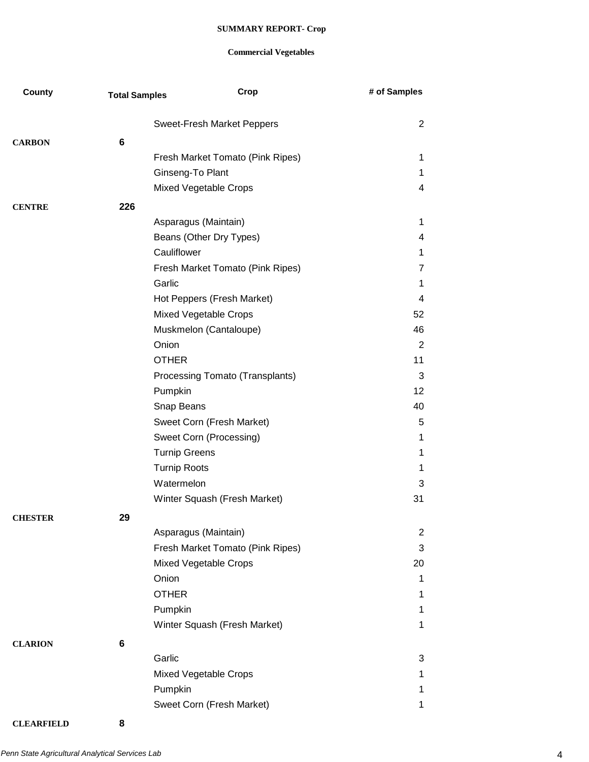## **Commercial Vegetables**

| County         | <b>Total Samples</b> | Crop                             | # of Samples    |
|----------------|----------------------|----------------------------------|-----------------|
|                |                      | Sweet-Fresh Market Peppers       | $\overline{2}$  |
| <b>CARBON</b>  | 6                    |                                  |                 |
|                |                      | Fresh Market Tomato (Pink Ripes) | 1               |
|                |                      | Ginseng-To Plant                 | 1.              |
|                |                      | Mixed Vegetable Crops            | 4               |
| <b>CENTRE</b>  | 226                  |                                  |                 |
|                |                      | Asparagus (Maintain)             | $\mathbf 1$     |
|                |                      | Beans (Other Dry Types)          | 4               |
|                |                      | Cauliflower                      | 1               |
|                |                      | Fresh Market Tomato (Pink Ripes) | 7               |
|                |                      | Garlic                           | 1               |
|                |                      | Hot Peppers (Fresh Market)       | 4               |
|                |                      | Mixed Vegetable Crops            | 52              |
|                |                      | Muskmelon (Cantaloupe)           | 46              |
|                |                      | Onion                            | 2               |
|                |                      | <b>OTHER</b>                     | 11              |
|                |                      | Processing Tomato (Transplants)  | 3               |
|                |                      | Pumpkin                          | 12 <sub>2</sub> |
|                |                      | Snap Beans                       | 40              |
|                |                      | Sweet Corn (Fresh Market)        | 5               |
|                |                      | Sweet Corn (Processing)          | 1               |
|                |                      | <b>Turnip Greens</b>             | $\mathbf 1$     |
|                |                      | <b>Turnip Roots</b>              | 1               |
|                |                      | Watermelon                       | 3               |
|                |                      | Winter Squash (Fresh Market)     | 31              |
| <b>CHESTER</b> | 29                   |                                  |                 |
|                |                      | Asparagus (Maintain)             | 2               |
|                |                      | Fresh Market Tomato (Pink Ripes) | 3               |
|                |                      | <b>Mixed Vegetable Crops</b>     | 20              |
|                |                      | Onion                            | 1               |
|                |                      | <b>OTHER</b>                     | 1               |
|                |                      | Pumpkin                          | 1               |
|                |                      | Winter Squash (Fresh Market)     | 1               |
| <b>CLARION</b> | 6                    |                                  |                 |
|                |                      | Garlic                           | 3               |
|                |                      | Mixed Vegetable Crops            | 1               |
|                |                      | Pumpkin                          | 1.              |
|                |                      | Sweet Corn (Fresh Market)        | 1               |

**CLEARFIELD 8**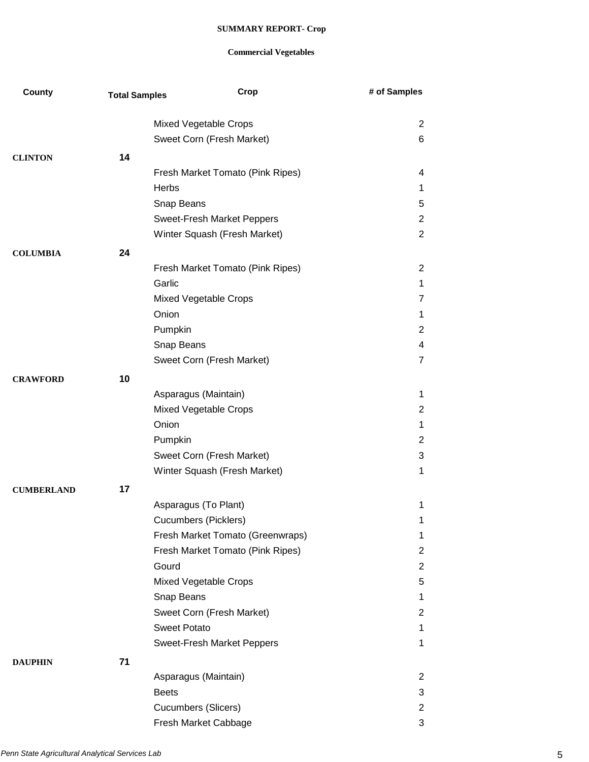| Mixed Vegetable Crops<br>Sweet Corn (Fresh Market)<br>14<br><b>CLINTON</b><br>Fresh Market Tomato (Pink Ripes)<br><b>Herbs</b><br>Snap Beans | $\overline{2}$<br>6<br>4<br>$\mathbf 1$<br>5<br>2<br>2<br>$\overline{2}$<br>$\mathbf 1$<br>7 |
|----------------------------------------------------------------------------------------------------------------------------------------------|----------------------------------------------------------------------------------------------|
|                                                                                                                                              |                                                                                              |
|                                                                                                                                              |                                                                                              |
|                                                                                                                                              |                                                                                              |
|                                                                                                                                              |                                                                                              |
|                                                                                                                                              |                                                                                              |
|                                                                                                                                              |                                                                                              |
|                                                                                                                                              |                                                                                              |
| <b>Sweet-Fresh Market Peppers</b>                                                                                                            |                                                                                              |
| Winter Squash (Fresh Market)                                                                                                                 |                                                                                              |
| 24<br><b>COLUMBIA</b>                                                                                                                        |                                                                                              |
| Fresh Market Tomato (Pink Ripes)                                                                                                             |                                                                                              |
| Garlic                                                                                                                                       |                                                                                              |
| Mixed Vegetable Crops                                                                                                                        |                                                                                              |
| Onion                                                                                                                                        | $\mathbf 1$                                                                                  |
| Pumpkin                                                                                                                                      | $\overline{2}$                                                                               |
| Snap Beans                                                                                                                                   | 4                                                                                            |
| Sweet Corn (Fresh Market)                                                                                                                    | $\overline{7}$                                                                               |
| 10<br><b>CRAWFORD</b>                                                                                                                        |                                                                                              |
| Asparagus (Maintain)                                                                                                                         | 1                                                                                            |
| Mixed Vegetable Crops                                                                                                                        | $\overline{2}$                                                                               |
| Onion                                                                                                                                        | 1                                                                                            |
| Pumpkin                                                                                                                                      | 2                                                                                            |
| Sweet Corn (Fresh Market)                                                                                                                    | 3                                                                                            |
| Winter Squash (Fresh Market)                                                                                                                 | 1                                                                                            |
| 17<br><b>CUMBERLAND</b>                                                                                                                      |                                                                                              |
| Asparagus (To Plant)                                                                                                                         | 1                                                                                            |
| Cucumbers (Picklers)                                                                                                                         | 1                                                                                            |
| Fresh Market Tomato (Greenwraps)                                                                                                             | 1                                                                                            |
| Fresh Market Tomato (Pink Ripes)                                                                                                             | 2                                                                                            |
| Gourd                                                                                                                                        | $\overline{2}$                                                                               |
| Mixed Vegetable Crops                                                                                                                        | 5                                                                                            |
| Snap Beans                                                                                                                                   | 1.                                                                                           |
| Sweet Corn (Fresh Market)                                                                                                                    | $\overline{2}$                                                                               |
| <b>Sweet Potato</b>                                                                                                                          | 1                                                                                            |
| Sweet-Fresh Market Peppers                                                                                                                   | 1                                                                                            |
| 71<br><b>DAUPHIN</b>                                                                                                                         |                                                                                              |
| Asparagus (Maintain)                                                                                                                         | 2                                                                                            |
| <b>Beets</b>                                                                                                                                 | 3                                                                                            |
| <b>Cucumbers (Slicers)</b>                                                                                                                   | $\overline{2}$                                                                               |
| Fresh Market Cabbage                                                                                                                         | 3                                                                                            |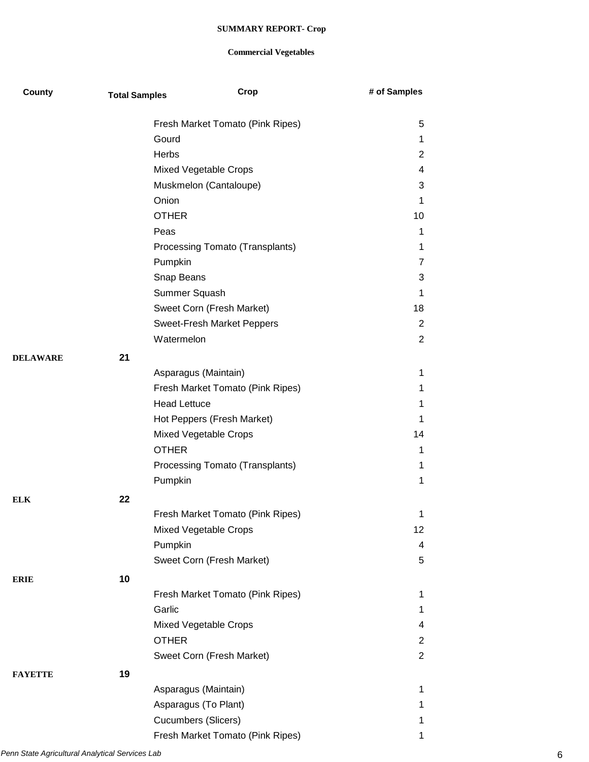| County          | <b>Total Samples</b> | Crop                             | # of Samples   |
|-----------------|----------------------|----------------------------------|----------------|
|                 |                      | Fresh Market Tomato (Pink Ripes) | 5              |
|                 |                      | Gourd                            | 1              |
|                 |                      | <b>Herbs</b>                     | $\overline{2}$ |
|                 |                      | Mixed Vegetable Crops            | 4              |
|                 |                      | Muskmelon (Cantaloupe)           | 3              |
|                 |                      | Onion                            | 1              |
|                 |                      | <b>OTHER</b>                     | 10             |
|                 |                      | Peas                             | 1              |
|                 |                      | Processing Tomato (Transplants)  | 1              |
|                 |                      | Pumpkin                          | 7              |
|                 |                      | Snap Beans                       | 3              |
|                 |                      | Summer Squash                    | 1              |
|                 |                      | Sweet Corn (Fresh Market)        | 18             |
|                 |                      | Sweet-Fresh Market Peppers       | $\overline{2}$ |
|                 |                      | Watermelon                       | $\overline{2}$ |
| <b>DELAWARE</b> | 21                   |                                  |                |
|                 |                      | Asparagus (Maintain)             | 1              |
|                 |                      | Fresh Market Tomato (Pink Ripes) | 1              |
|                 |                      | <b>Head Lettuce</b>              | 1              |
|                 |                      | Hot Peppers (Fresh Market)       | 1              |
|                 |                      | Mixed Vegetable Crops            | 14             |
|                 |                      | <b>OTHER</b>                     | 1              |
|                 |                      | Processing Tomato (Transplants)  | 1              |
|                 |                      | Pumpkin                          | 1              |
| ELK             | 22                   |                                  |                |
|                 |                      | Fresh Market Tomato (Pink Ripes) | 1              |
|                 |                      | Mixed Vegetable Crops            | 12             |
|                 |                      | Pumpkin                          | 4              |
|                 |                      | Sweet Corn (Fresh Market)        | 5              |
| ERIE            | 10                   |                                  |                |
|                 |                      | Fresh Market Tomato (Pink Ripes) | 1              |
|                 |                      | Garlic                           | 1              |
|                 |                      | Mixed Vegetable Crops            | 4              |
|                 |                      | <b>OTHER</b>                     | $\overline{2}$ |
|                 |                      | Sweet Corn (Fresh Market)        | $\overline{2}$ |
| FAYETTE         | 19                   |                                  |                |
|                 |                      | Asparagus (Maintain)             | 1              |
|                 |                      | Asparagus (To Plant)             | 1              |
|                 |                      | Cucumbers (Slicers)              | 1              |
|                 |                      | Fresh Market Tomato (Pink Ripes) | 1              |
|                 |                      |                                  |                |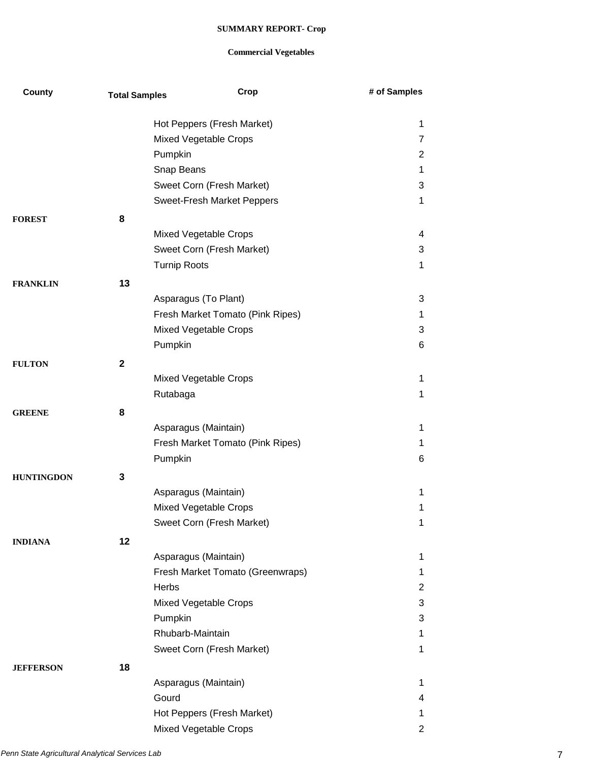| County            | <b>Total Samples</b> | Crop                             | # of Samples   |
|-------------------|----------------------|----------------------------------|----------------|
|                   |                      | Hot Peppers (Fresh Market)       | 1              |
|                   |                      | Mixed Vegetable Crops            | 7              |
|                   |                      | Pumpkin                          | 2              |
|                   |                      | Snap Beans                       | 1              |
|                   |                      | Sweet Corn (Fresh Market)        | 3              |
|                   |                      | Sweet-Fresh Market Peppers       | $\mathbf 1$    |
| <b>FOREST</b>     | 8                    |                                  |                |
|                   |                      | <b>Mixed Vegetable Crops</b>     | 4              |
|                   |                      | Sweet Corn (Fresh Market)        | 3              |
|                   |                      | <b>Turnip Roots</b>              | 1              |
| <b>FRANKLIN</b>   | 13                   |                                  |                |
|                   |                      | Asparagus (To Plant)             | 3              |
|                   |                      | Fresh Market Tomato (Pink Ripes) | 1              |
|                   |                      | Mixed Vegetable Crops            | 3              |
|                   |                      | Pumpkin                          | 6              |
| <b>FULTON</b>     | $\mathbf 2$          |                                  |                |
|                   |                      | Mixed Vegetable Crops            | 1              |
|                   |                      | Rutabaga                         | 1              |
| <b>GREENE</b>     | 8                    |                                  |                |
|                   |                      | Asparagus (Maintain)             | 1              |
|                   |                      | Fresh Market Tomato (Pink Ripes) | 1              |
|                   |                      | Pumpkin                          | 6              |
| <b>HUNTINGDON</b> | 3                    |                                  |                |
|                   |                      | Asparagus (Maintain)             | 1              |
|                   |                      | <b>Mixed Vegetable Crops</b>     | 1              |
|                   |                      | Sweet Corn (Fresh Market)        | 1              |
| <b>INDIANA</b>    | 12                   |                                  |                |
|                   |                      | Asparagus (Maintain)             | 1              |
|                   |                      | Fresh Market Tomato (Greenwraps) | 1.             |
|                   |                      | Herbs                            | $\overline{2}$ |
|                   |                      | <b>Mixed Vegetable Crops</b>     | 3              |
|                   |                      | Pumpkin                          | 3              |
|                   |                      | Rhubarb-Maintain                 | 1              |
|                   |                      | Sweet Corn (Fresh Market)        | 1              |
| <b>JEFFERSON</b>  | 18                   |                                  |                |
|                   |                      | Asparagus (Maintain)             | 1              |
|                   |                      | Gourd                            | 4              |
|                   |                      | Hot Peppers (Fresh Market)       | 1.             |
|                   |                      | <b>Mixed Vegetable Crops</b>     | $\overline{2}$ |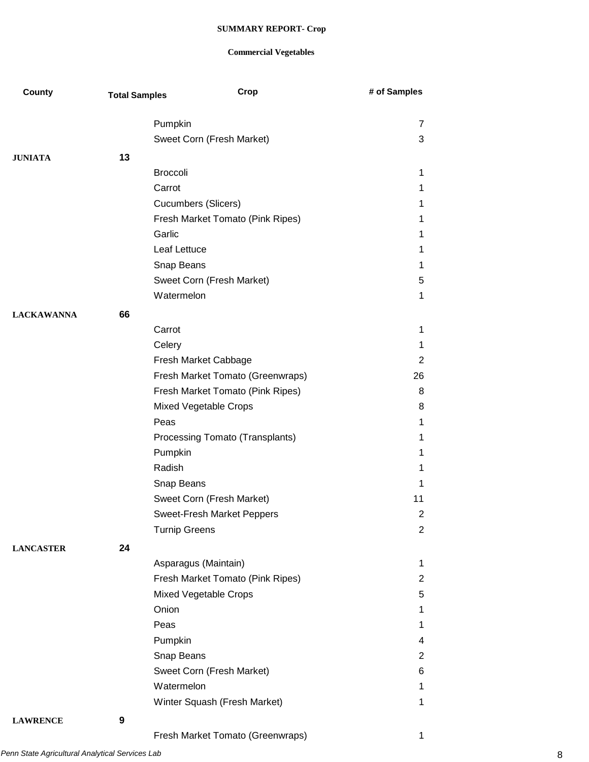## **Commercial Vegetables**

| County            | <b>Total Samples</b> |                            | Crop                             | # of Samples   |
|-------------------|----------------------|----------------------------|----------------------------------|----------------|
|                   |                      | Pumpkin                    |                                  | 7              |
|                   |                      |                            | Sweet Corn (Fresh Market)        | 3              |
| <b>JUNIATA</b>    | 13                   |                            |                                  |                |
|                   |                      | <b>Broccoli</b>            |                                  | $\mathbf{1}$   |
|                   |                      | Carrot                     |                                  | 1              |
|                   |                      | <b>Cucumbers (Slicers)</b> |                                  | 1              |
|                   |                      |                            | Fresh Market Tomato (Pink Ripes) | 1              |
|                   |                      | Garlic                     |                                  | 1              |
|                   |                      | Leaf Lettuce               |                                  | 1              |
|                   |                      | Snap Beans                 |                                  | 1              |
|                   |                      |                            | Sweet Corn (Fresh Market)        | 5              |
|                   |                      | Watermelon                 |                                  | 1              |
| <b>LACKAWANNA</b> | 66                   |                            |                                  |                |
|                   |                      | Carrot                     |                                  | 1              |
|                   |                      | Celery                     |                                  | 1              |
|                   |                      |                            | Fresh Market Cabbage             | $\overline{2}$ |
|                   |                      |                            | Fresh Market Tomato (Greenwraps) | 26             |
|                   |                      |                            | Fresh Market Tomato (Pink Ripes) | 8              |
|                   |                      |                            | Mixed Vegetable Crops            | 8              |
|                   |                      | Peas                       |                                  | 1              |
|                   |                      |                            | Processing Tomato (Transplants)  | 1              |
|                   |                      | Pumpkin                    |                                  | 1              |
|                   |                      | Radish                     |                                  | 1              |
|                   |                      | Snap Beans                 |                                  | 1              |
|                   |                      |                            | Sweet Corn (Fresh Market)        | 11             |
|                   |                      |                            | Sweet-Fresh Market Peppers       | $\overline{2}$ |
|                   |                      | <b>Turnip Greens</b>       |                                  | $\overline{2}$ |
| <b>LANCASTER</b>  | 24                   |                            |                                  |                |
|                   |                      |                            | Asparagus (Maintain)             | 1              |
|                   |                      |                            | Fresh Market Tomato (Pink Ripes) | $\overline{2}$ |
|                   |                      |                            | Mixed Vegetable Crops            | 5              |
|                   |                      | Onion                      |                                  | 1              |
|                   |                      | Peas                       |                                  | 1              |
|                   |                      | Pumpkin                    |                                  | 4              |
|                   |                      | Snap Beans                 |                                  | $\overline{2}$ |
|                   |                      |                            | Sweet Corn (Fresh Market)        | 6              |
|                   |                      | Watermelon                 |                                  | $\mathbf{1}$   |
|                   |                      |                            | Winter Squash (Fresh Market)     | 1              |
| <b>LAWRENCE</b>   | 9                    |                            |                                  |                |
|                   |                      |                            | Fresh Market Tomato (Greenwraps) | 1              |

*Penn State Agricultural Analytical Services Lab* 8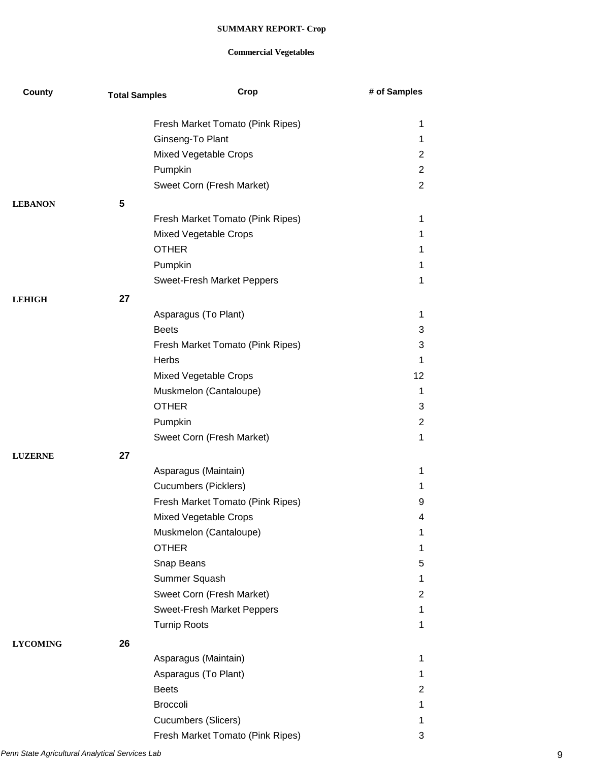| County          | <b>Total Samples</b> | Crop                             | # of Samples   |
|-----------------|----------------------|----------------------------------|----------------|
|                 |                      | Fresh Market Tomato (Pink Ripes) | 1              |
|                 |                      | Ginseng-To Plant                 | 1              |
|                 |                      | Mixed Vegetable Crops            | $\overline{c}$ |
|                 |                      | Pumpkin                          | $\overline{2}$ |
|                 |                      | Sweet Corn (Fresh Market)        | $\overline{2}$ |
|                 |                      |                                  |                |
| <b>LEBANON</b>  | 5                    |                                  |                |
|                 |                      | Fresh Market Tomato (Pink Ripes) | 1              |
|                 |                      | <b>Mixed Vegetable Crops</b>     | 1              |
|                 |                      | <b>OTHER</b>                     | 1              |
|                 |                      | Pumpkin                          | 1              |
|                 |                      | Sweet-Fresh Market Peppers       | 1              |
| <b>LEHIGH</b>   | 27                   |                                  |                |
|                 |                      | Asparagus (To Plant)             | 1              |
|                 |                      | <b>Beets</b>                     | 3              |
|                 |                      | Fresh Market Tomato (Pink Ripes) | 3              |
|                 |                      | <b>Herbs</b>                     | 1              |
|                 |                      | Mixed Vegetable Crops            | 12             |
|                 |                      | Muskmelon (Cantaloupe)           | 1              |
|                 |                      | <b>OTHER</b>                     | 3              |
|                 |                      | Pumpkin                          | 2              |
|                 |                      | Sweet Corn (Fresh Market)        | 1              |
| <b>LUZERNE</b>  | 27                   |                                  |                |
|                 |                      | Asparagus (Maintain)             | 1              |
|                 |                      | <b>Cucumbers (Picklers)</b>      | 1              |
|                 |                      | Fresh Market Tomato (Pink Ripes) | 9              |
|                 |                      | Mixed Vegetable Crops            | 4              |
|                 |                      | Muskmelon (Cantaloupe)           | 1              |
|                 |                      | <b>OTHER</b>                     | 1              |
|                 |                      | Snap Beans                       | 5              |
|                 |                      | Summer Squash                    | $\mathbf{1}$   |
|                 |                      | Sweet Corn (Fresh Market)        | 2              |
|                 |                      | Sweet-Fresh Market Peppers       | 1              |
|                 |                      | <b>Turnip Roots</b>              | 1              |
| <b>LYCOMING</b> | 26                   |                                  |                |
|                 |                      | Asparagus (Maintain)             | 1              |
|                 |                      | Asparagus (To Plant)             | 1              |
|                 |                      | <b>Beets</b>                     | 2              |
|                 |                      | <b>Broccoli</b>                  | 1              |
|                 |                      | <b>Cucumbers (Slicers)</b>       | 1              |
|                 |                      | Fresh Market Tomato (Pink Ripes) | 3              |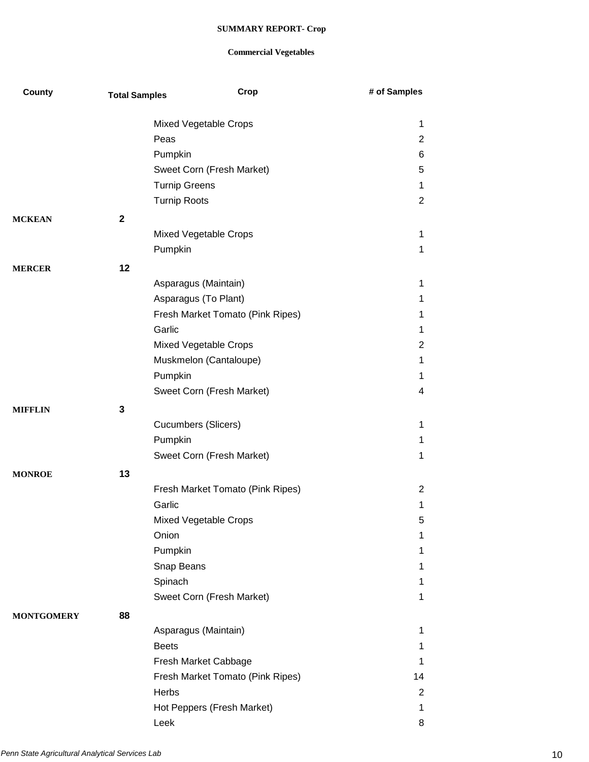| County            | <b>Total Samples</b> | Crop                             | # of Samples   |
|-------------------|----------------------|----------------------------------|----------------|
|                   |                      | Mixed Vegetable Crops            | 1              |
|                   |                      | Peas                             | $\overline{2}$ |
|                   |                      | Pumpkin                          | 6              |
|                   |                      | Sweet Corn (Fresh Market)        | 5              |
|                   |                      | <b>Turnip Greens</b>             | 1              |
|                   |                      | <b>Turnip Roots</b>              | 2              |
|                   |                      |                                  |                |
| <b>MCKEAN</b>     | $\mathbf{2}$         |                                  | $\mathbf 1$    |
|                   |                      | Mixed Vegetable Crops            | 1              |
|                   |                      | Pumpkin                          |                |
| <b>MERCER</b>     | 12                   |                                  |                |
|                   |                      | Asparagus (Maintain)             | 1              |
|                   |                      | Asparagus (To Plant)             | 1              |
|                   |                      | Fresh Market Tomato (Pink Ripes) | 1              |
|                   |                      | Garlic                           | 1              |
|                   |                      | Mixed Vegetable Crops            | $\overline{2}$ |
|                   |                      | Muskmelon (Cantaloupe)           | $\mathbf 1$    |
|                   |                      | Pumpkin                          | 1              |
|                   |                      | Sweet Corn (Fresh Market)        | 4              |
| <b>MIFFLIN</b>    | 3                    |                                  |                |
|                   |                      | <b>Cucumbers (Slicers)</b>       | $\mathbf 1$    |
|                   |                      | Pumpkin                          | 1              |
|                   |                      | Sweet Corn (Fresh Market)        | 1              |
| <b>MONROE</b>     | 13                   |                                  |                |
|                   |                      | Fresh Market Tomato (Pink Ripes) | 2              |
|                   |                      | Garlic                           | 1              |
|                   |                      | Mixed Vegetable Crops            | 5              |
|                   |                      | Onion                            | 1              |
|                   |                      | Pumpkin                          | 1              |
|                   |                      | Snap Beans                       | 1              |
|                   |                      | Spinach                          | 1              |
|                   |                      | Sweet Corn (Fresh Market)        | 1              |
| <b>MONTGOMERY</b> | 88                   |                                  |                |
|                   |                      | Asparagus (Maintain)             | 1              |
|                   |                      | <b>Beets</b>                     | 1              |
|                   |                      | Fresh Market Cabbage             | 1              |
|                   |                      | Fresh Market Tomato (Pink Ripes) | 14             |
|                   |                      | Herbs                            | $\overline{2}$ |
|                   |                      | Hot Peppers (Fresh Market)       | $\mathbf 1$    |
|                   |                      | Leek                             | 8              |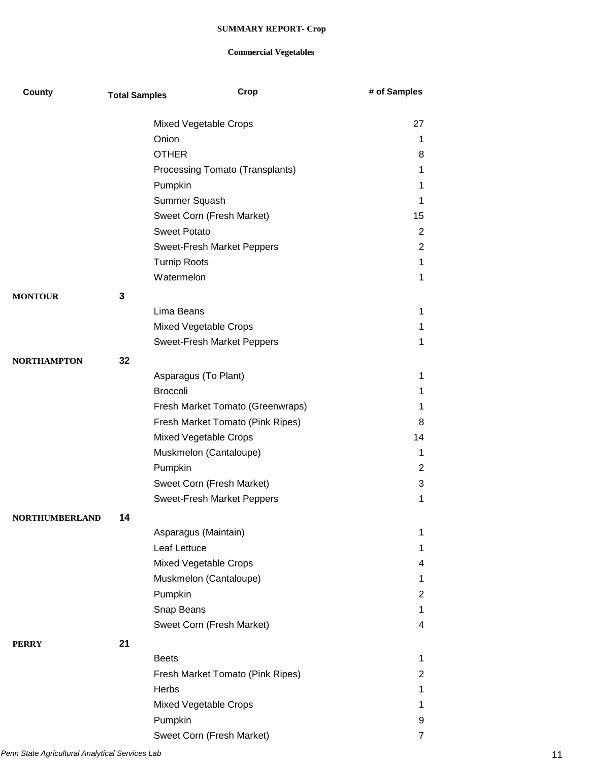| County                | <b>Total Samples</b> | Crop                              | # of Samples   |
|-----------------------|----------------------|-----------------------------------|----------------|
|                       |                      | Mixed Vegetable Crops             | 27             |
|                       |                      | Onion                             | 1              |
|                       |                      | <b>OTHER</b>                      | 8              |
|                       |                      | Processing Tomato (Transplants)   | 1              |
|                       |                      | Pumpkin                           | 1              |
|                       |                      | Summer Squash                     | 1              |
|                       |                      | Sweet Corn (Fresh Market)         | 15             |
|                       |                      | <b>Sweet Potato</b>               | $\overline{2}$ |
|                       |                      | Sweet-Fresh Market Peppers        | $\overline{2}$ |
|                       |                      | <b>Turnip Roots</b>               | $\mathbf{1}$   |
|                       |                      | Watermelon                        | $\mathbf{1}$   |
| <b>MONTOUR</b>        | 3                    |                                   |                |
|                       |                      | Lima Beans                        | 1              |
|                       |                      | Mixed Vegetable Crops             | 1              |
|                       |                      | <b>Sweet-Fresh Market Peppers</b> | 1              |
| NORTHAMPTON           | 32                   |                                   |                |
|                       |                      | Asparagus (To Plant)              | 1              |
|                       |                      | <b>Broccoli</b>                   | 1              |
|                       |                      | Fresh Market Tomato (Greenwraps)  | 1              |
|                       |                      | Fresh Market Tomato (Pink Ripes)  | 8              |
|                       |                      | Mixed Vegetable Crops             | 14             |
|                       |                      | Muskmelon (Cantaloupe)            | 1              |
|                       |                      | Pumpkin                           | $\overline{2}$ |
|                       |                      | Sweet Corn (Fresh Market)         | 3              |
|                       |                      | <b>Sweet-Fresh Market Peppers</b> | 1              |
| <b>NORTHUMBERLAND</b> | 14                   |                                   |                |
|                       |                      | Asparagus (Maintain)              | 1              |
|                       |                      | Leaf Lettuce                      | 1              |
|                       |                      | Mixed Vegetable Crops             | 4              |
|                       |                      | Muskmelon (Cantaloupe)            | $\mathbf 1$    |
|                       |                      | Pumpkin                           | $\overline{2}$ |
|                       |                      | Snap Beans                        | 1              |
|                       |                      | Sweet Corn (Fresh Market)         | 4              |
| <b>PERRY</b>          | 21                   |                                   |                |
|                       |                      | <b>Beets</b>                      | 1              |
|                       |                      | Fresh Market Tomato (Pink Ripes)  | 2              |
|                       |                      | Herbs                             | 1              |
|                       |                      | Mixed Vegetable Crops             | 1              |
|                       |                      | Pumpkin                           | 9              |
|                       |                      | Sweet Corn (Fresh Market)         | $\overline{7}$ |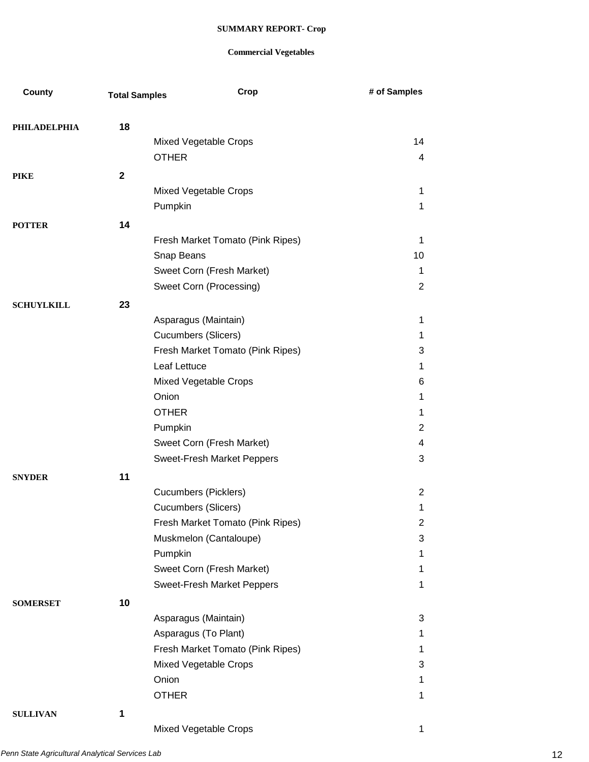| County              | <b>Total Samples</b> | Crop                             | # of Samples   |
|---------------------|----------------------|----------------------------------|----------------|
|                     |                      |                                  |                |
| <b>PHILADELPHIA</b> | 18                   |                                  |                |
|                     |                      | Mixed Vegetable Crops            | 14             |
|                     |                      | <b>OTHER</b>                     | 4              |
| <b>PIKE</b>         | $\mathbf 2$          |                                  |                |
|                     |                      | Mixed Vegetable Crops            | 1              |
|                     |                      | Pumpkin                          | 1              |
| <b>POTTER</b>       | 14                   |                                  |                |
|                     |                      | Fresh Market Tomato (Pink Ripes) | 1              |
|                     |                      | Snap Beans                       | 10             |
|                     |                      | Sweet Corn (Fresh Market)        | $\mathbf 1$    |
|                     |                      | Sweet Corn (Processing)          | 2              |
| <b>SCHUYLKILL</b>   | 23                   |                                  |                |
|                     |                      | Asparagus (Maintain)             | 1              |
|                     |                      | <b>Cucumbers (Slicers)</b>       | 1              |
|                     |                      | Fresh Market Tomato (Pink Ripes) | 3              |
|                     |                      | Leaf Lettuce                     | 1              |
|                     |                      | Mixed Vegetable Crops            | 6              |
|                     |                      | Onion                            | 1              |
|                     |                      | <b>OTHER</b>                     | 1              |
|                     |                      | Pumpkin                          | $\overline{2}$ |
|                     |                      | Sweet Corn (Fresh Market)        | 4              |
|                     |                      | Sweet-Fresh Market Peppers       | 3              |
| <b>SNYDER</b>       | 11                   |                                  |                |
|                     |                      | <b>Cucumbers (Picklers)</b>      | $\overline{2}$ |
|                     |                      | Cucumbers (Slicers)              | 1              |
|                     |                      | Fresh Market Tomato (Pink Ripes) | 2              |
|                     |                      | Muskmelon (Cantaloupe)           | 3              |
|                     |                      | Pumpkin                          | 1              |
|                     |                      | Sweet Corn (Fresh Market)        | 1              |
|                     |                      | Sweet-Fresh Market Peppers       | 1              |
|                     |                      |                                  |                |
| <b>SOMERSET</b>     | 10                   |                                  |                |
|                     |                      | Asparagus (Maintain)             | 3              |
|                     |                      | Asparagus (To Plant)             | 1              |
|                     |                      | Fresh Market Tomato (Pink Ripes) | 1              |
|                     |                      | Mixed Vegetable Crops            | 3              |
|                     |                      | Onion                            | 1              |
|                     |                      | <b>OTHER</b>                     | 1              |
| <b>SULLIVAN</b>     | 1                    |                                  |                |
|                     |                      | Mixed Vegetable Crops            | $\mathbf 1$    |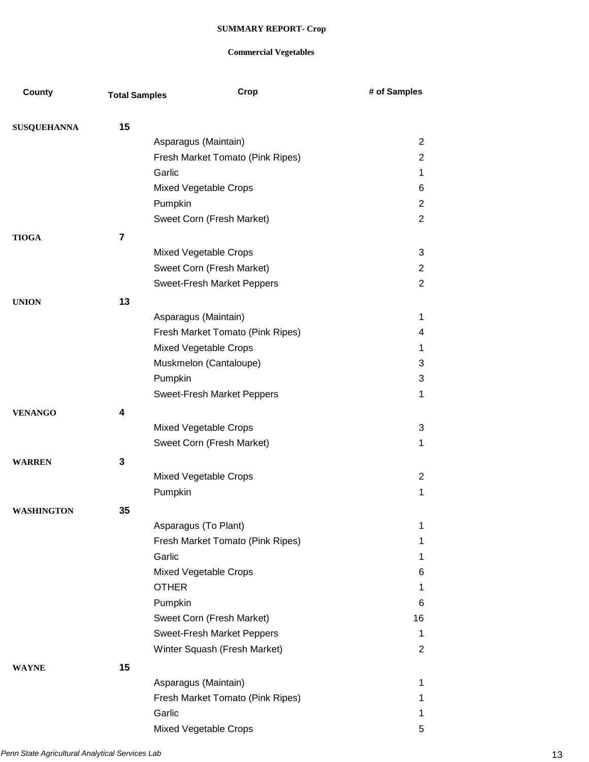| County             | <b>Total Samples</b> | Crop                                                     | # of Samples     |
|--------------------|----------------------|----------------------------------------------------------|------------------|
|                    |                      |                                                          |                  |
| <b>SUSQUEHANNA</b> | 15                   |                                                          |                  |
|                    |                      | Asparagus (Maintain)                                     | $\overline{2}$   |
|                    |                      | Fresh Market Tomato (Pink Ripes)<br>Garlic               | $\overline{2}$   |
|                    |                      |                                                          | 1                |
|                    |                      | Mixed Vegetable Crops                                    | 6                |
|                    |                      | Pumpkin                                                  | $\overline{2}$   |
|                    |                      | Sweet Corn (Fresh Market)                                | $\overline{2}$   |
| <b>TIOGA</b>       | 7                    |                                                          |                  |
|                    |                      | Mixed Vegetable Crops                                    | 3                |
|                    |                      | Sweet Corn (Fresh Market)                                | $\overline{2}$   |
|                    |                      | Sweet-Fresh Market Peppers                               | $\overline{2}$   |
| <b>UNION</b>       | 13                   |                                                          |                  |
|                    |                      | Asparagus (Maintain)                                     | $\mathbf 1$      |
|                    |                      | Fresh Market Tomato (Pink Ripes)                         | 4                |
|                    |                      | Mixed Vegetable Crops                                    | 1                |
|                    |                      | Muskmelon (Cantaloupe)                                   | 3                |
|                    |                      | Pumpkin                                                  | 3                |
|                    |                      | <b>Sweet-Fresh Market Peppers</b>                        | $\mathbf{1}$     |
| <b>VENANGO</b>     | 4                    |                                                          |                  |
|                    |                      | Mixed Vegetable Crops                                    | 3                |
|                    |                      | Sweet Corn (Fresh Market)                                | 1                |
| <b>WARREN</b>      | 3                    |                                                          |                  |
|                    |                      | <b>Mixed Vegetable Crops</b>                             | $\overline{2}$   |
|                    |                      | Pumpkin                                                  | 1                |
|                    |                      |                                                          |                  |
| <b>WASHINGTON</b>  | 35                   |                                                          |                  |
|                    |                      | Asparagus (To Plant)<br>Fresh Market Tomato (Pink Ripes) | 1<br>$\mathbf 1$ |
|                    |                      |                                                          |                  |
|                    |                      | Garlic                                                   | $\mathbf 1$      |
|                    |                      | Mixed Vegetable Crops                                    | 6                |
|                    |                      | <b>OTHER</b>                                             | $\mathbf 1$      |
|                    |                      | Pumpkin                                                  | 6                |
|                    |                      | Sweet Corn (Fresh Market)                                | 16               |
|                    |                      | <b>Sweet-Fresh Market Peppers</b>                        | $\mathbf 1$      |
|                    |                      | Winter Squash (Fresh Market)                             | $\overline{2}$   |
| <b>WAYNE</b>       | 15                   |                                                          |                  |
|                    |                      | Asparagus (Maintain)                                     | $\mathbf 1$      |
|                    |                      | Fresh Market Tomato (Pink Ripes)                         | 1                |
|                    |                      | Garlic                                                   | $\mathbf 1$      |
|                    |                      | Mixed Vegetable Crops                                    | 5                |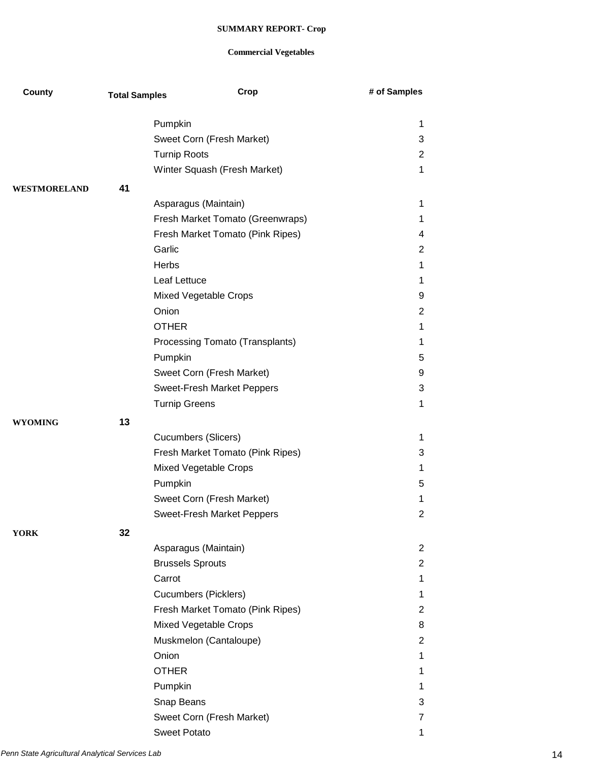| County         | <b>Total Samples</b> | Crop                             | # of Samples   |
|----------------|----------------------|----------------------------------|----------------|
|                |                      | Pumpkin                          | 1              |
|                |                      | Sweet Corn (Fresh Market)        | 3              |
|                |                      | <b>Turnip Roots</b>              | $\overline{2}$ |
|                |                      | Winter Squash (Fresh Market)     | 1              |
|                |                      |                                  |                |
| WESTMORELAND   | 41                   |                                  |                |
|                |                      | Asparagus (Maintain)             | 1              |
|                |                      | Fresh Market Tomato (Greenwraps) | 1              |
|                |                      | Fresh Market Tomato (Pink Ripes) | 4              |
|                |                      | Garlic                           | $\overline{c}$ |
|                |                      | <b>Herbs</b>                     | 1              |
|                |                      | Leaf Lettuce                     | 1              |
|                |                      | Mixed Vegetable Crops            | 9              |
|                |                      | Onion                            | $\overline{2}$ |
|                |                      | <b>OTHER</b>                     | 1              |
|                |                      | Processing Tomato (Transplants)  | 1              |
|                |                      | Pumpkin                          | 5              |
|                |                      | Sweet Corn (Fresh Market)        | 9              |
|                |                      | Sweet-Fresh Market Peppers       | 3              |
|                |                      | <b>Turnip Greens</b>             | 1              |
| <b>WYOMING</b> | 13                   |                                  |                |
|                |                      | <b>Cucumbers (Slicers)</b>       | 1              |
|                |                      | Fresh Market Tomato (Pink Ripes) | 3              |
|                |                      | Mixed Vegetable Crops            | 1              |
|                |                      | Pumpkin                          | 5              |
|                |                      | Sweet Corn (Fresh Market)        | 1              |
|                |                      | Sweet-Fresh Market Peppers       | 2              |
| <b>YORK</b>    | 32                   |                                  |                |
|                |                      | Asparagus (Maintain)             | $\overline{2}$ |
|                |                      | <b>Brussels Sprouts</b>          | $\overline{2}$ |
|                |                      | Carrot                           | 1              |
|                |                      | <b>Cucumbers (Picklers)</b>      | 1              |
|                |                      | Fresh Market Tomato (Pink Ripes) | 2              |
|                |                      | Mixed Vegetable Crops            | 8              |
|                |                      | Muskmelon (Cantaloupe)           | $\overline{2}$ |
|                |                      | Onion                            | 1              |
|                |                      | <b>OTHER</b>                     | 1              |
|                |                      |                                  |                |
|                |                      | Pumpkin                          | 1              |
|                |                      | Snap Beans                       | 3              |
|                |                      | Sweet Corn (Fresh Market)        | 7              |
|                |                      | <b>Sweet Potato</b>              | 1              |